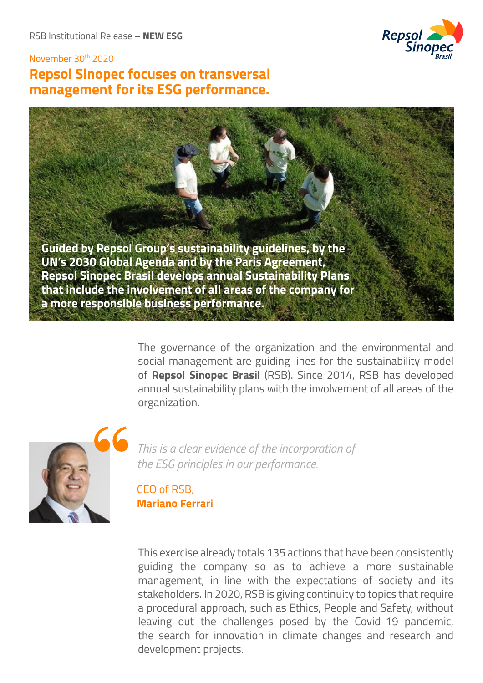

# November 30th 2020 **Repsol Sinopec focuses on transversal management for its ESG performance.**



The governance of the organization and the environmental and social management are guiding lines for the sustainability model of **Repsol Sinopec Brasil** (RSB). Since 2014, RSB has developed annual sustainability plans with the involvement of all areas of the organization.



*This is a clear evidence of the incorporation of the ESG principles in our performance.*

CEO of RSB, **Mariano Ferrari**

This exercise already totals 135 actions that have been consistently guiding the company so as to achieve a more sustainable management, in line with the expectations of society and its stakeholders. In 2020, RSB is giving continuity to topics that require a procedural approach, such as Ethics, People and Safety, without leaving out the challenges posed by the Covid-19 pandemic, the search for innovation in climate changes and research and development projects.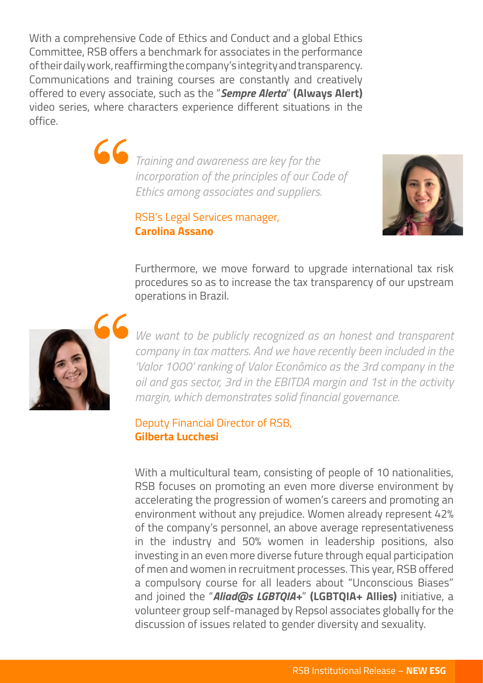With a comprehensive Code of Ethics and Conduct and a global Ethics Committee, RSB offers a benchmark for associates in the performance of their daily work, reaffirming the company's integrity and transparency. Communications and training courses are constantly and creatively offered to every associate, such as the "*Sempre Alerta*" **(Always Alert)**  video series, where characters experience different situations in the office.

> *Training and awareness are key for the incorporation of the principles of our Code of Ethics among associates and suppliers.*

> > RSB's Legal Services manager, **Carolina Assano**



Furthermore, we move forward to upgrade international tax risk procedures so as to increase the tax transparency of our upstream operations in Brazil.



*We want to be publicly recognized as an honest and transparent company in tax matters. And we have recently been included in the 'Valor 1000' ranking of Valor Econômico as the 3rd company in the oil and gas sector, 3rd in the EBITDA margin and 1st in the activity margin, which demonstrates solid financial governance.*

#### Deputy Financial Director of RSB, **Gilberta Lucchesi**

With a multicultural team, consisting of people of 10 nationalities, RSB focuses on promoting an even more diverse environment by accelerating the progression of women's careers and promoting an environment without any prejudice. Women already represent 42% of the company's personnel, an above average representativeness in the industry and 50% women in leadership positions, also investing in an even more diverse future through equal participation of men and women in recruitment processes. This year, RSB offered a compulsory course for all leaders about "Unconscious Biases" and joined the "*Aliad@s LGBTQIA+*" **(LGBTQIA+ Allies)** initiative, a volunteer group self-managed by Repsol associates globally for the discussion of issues related to gender diversity and sexuality.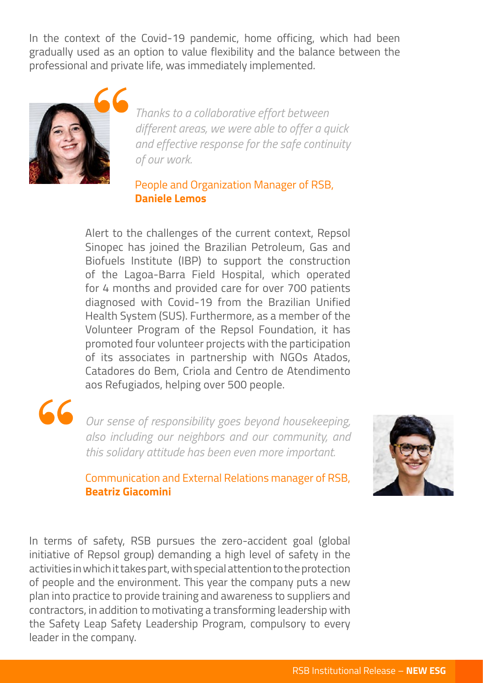In the context of the Covid-19 pandemic, home officing, which had been gradually used as an option to value flexibility and the balance between the professional and private life, was immediately implemented.



*Thanks to a collaborative effort between different areas, we were able to offer a quick and effective response for the safe continuity of our work.*

### People and Organization Manager of RSB, **Daniele Lemos**

Alert to the challenges of the current context, Repsol Sinopec has joined the Brazilian Petroleum, Gas and Biofuels Institute (IBP) to support the construction of the Lagoa-Barra Field Hospital, which operated for 4 months and provided care for over 700 patients diagnosed with Covid-19 from the Brazilian Unified Health System (SUS). Furthermore, as a member of the Volunteer Program of the Repsol Foundation, it has promoted four volunteer projects with the participation of its associates in partnership with NGOs Atados, Catadores do Bem, Criola and Centro de Atendimento aos Refugiados, helping over 500 people.

*Our sense of responsibility goes beyond housekeeping, also including our neighbors and our community, and this solidary attitude has been even more important.*



### Communication and External Relations manager of RSB, **Beatriz Giacomini**

In terms of safety, RSB pursues the zero-accident goal (global initiative of Repsol group) demanding a high level of safety in the activities in which it takes part, with special attention to the protection of people and the environment. This year the company puts a new plan into practice to provide training and awareness to suppliers and contractors, in addition to motivating a transforming leadership with the Safety Leap Safety Leadership Program, compulsory to every leader in the company.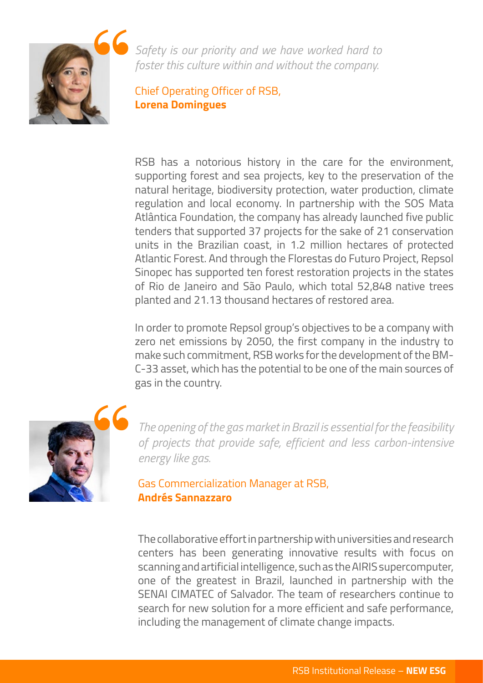

*Safety is our priority and we have worked hard to foster this culture within and without the company.*

Chief Operating Officer of RSB, **Lorena Domingues**

RSB has a notorious history in the care for the environment, supporting forest and sea projects, key to the preservation of the natural heritage, biodiversity protection, water production, climate regulation and local economy. In partnership with the SOS Mata Atlântica Foundation, the company has already launched five public tenders that supported 37 projects for the sake of 21 conservation units in the Brazilian coast, in 1.2 million hectares of protected Atlantic Forest. And through the Florestas do Futuro Project, Repsol Sinopec has supported ten forest restoration projects in the states of Rio de Janeiro and São Paulo, which total 52,848 native trees planted and 21.13 thousand hectares of restored area.

In order to promote Repsol group's objectives to be a company with zero net emissions by 2050, the first company in the industry to make such commitment, RSB works for the development of the BM-C-33 asset, which has the potential to be one of the main sources of gas in the country.



*The opening of the gas market in Brazil is essential for the feasibility of projects that provide safe, efficient and less carbon-intensive energy like gas.*

Gas Commercialization Manager at RSB, **Andrés Sannazzaro**

The collaborative effort in partnership with universities and research centers has been generating innovative results with focus on scanning and artificial intelligence, such as the AIRIS supercomputer, one of the greatest in Brazil, launched in partnership with the SENAI CIMATEC of Salvador. The team of researchers continue to search for new solution for a more efficient and safe performance, including the management of climate change impacts.